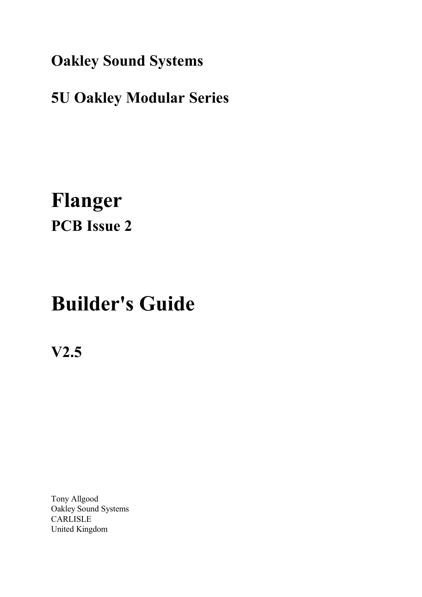**Oakley Sound Systems**

## **5U Oakley Modular Series**

## **Flanger PCB Issue 2**

# **Builder's Guide**

**V2.5**

Tony Allgood Oakley Sound Systems CARLISLE United Kingdom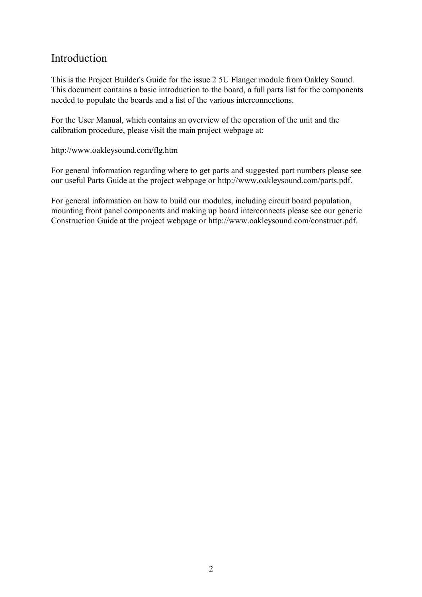### Introduction

This is the Project Builder's Guide for the issue 2 5U Flanger module from Oakley Sound. This document contains a basic introduction to the board, a full parts list for the components needed to populate the boards and a list of the various interconnections.

For the User Manual, which contains an overview of the operation of the unit and the calibration procedure, please visit the main project webpage at:

http://www.oakleysound.com/flg.htm

For general information regarding where to get parts and suggested part numbers please see our useful Parts Guide at the project webpage or http://www.oakleysound.com/parts.pdf.

For general information on how to build our modules, including circuit board population, mounting front panel components and making up board interconnects please see our generic Construction Guide at the project webpage or http://www.oakleysound.com/construct.pdf.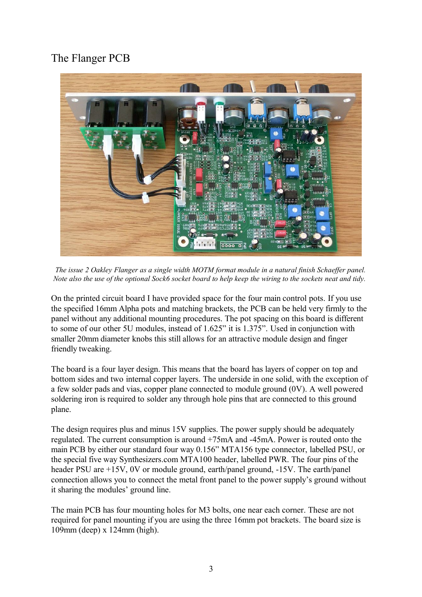## The Flanger PCB



*The issue 2 Oakley Flanger as a single width MOTM format module in a natural finish Schaeffer panel. Note also the use of the optional Sock6 socket board to help keep the wiring to the sockets neat and tidy.* 

On the printed circuit board I have provided space for the four main control pots. If you use the specified 16mm Alpha pots and matching brackets, the PCB can be held very firmly to the panel without any additional mounting procedures. The pot spacing on this board is different to some of our other 5U modules, instead of 1.625" it is 1.375". Used in conjunction with smaller 20mm diameter knobs this still allows for an attractive module design and finger friendly tweaking.

The board is a four layer design. This means that the board has layers of copper on top and bottom sides and two internal copper layers. The underside in one solid, with the exception of a few solder pads and vias, copper plane connected to module ground (0V). A well powered soldering iron is required to solder any through hole pins that are connected to this ground plane.

The design requires plus and minus 15V supplies. The power supply should be adequately regulated. The current consumption is around +75mA and -45mA. Power is routed onto the main PCB by either our standard four way 0.156" MTA156 type connector, labelled PSU, or the special five way Synthesizers.com MTA100 header, labelled PWR. The four pins of the header PSU are +15V, 0V or module ground, earth/panel ground, -15V. The earth/panel connection allows you to connect the metal front panel to the power supply's ground without it sharing the modules' ground line.

The main PCB has four mounting holes for M3 bolts, one near each corner. These are not required for panel mounting if you are using the three 16mm pot brackets. The board size is 109mm (deep) x 124mm (high).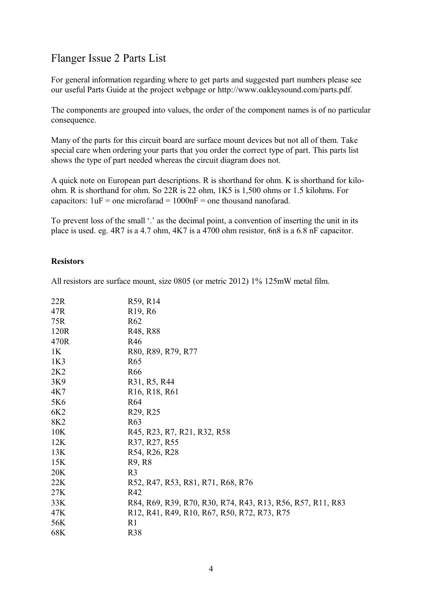## Flanger Issue 2 Parts List

For general information regarding where to get parts and suggested part numbers please see our useful Parts Guide at the project webpage or http://www.oakleysound.com/parts.pdf.

The components are grouped into values, the order of the component names is of no particular consequence.

Many of the parts for this circuit board are surface mount devices but not all of them. Take special care when ordering your parts that you order the correct type of part. This parts list shows the type of part needed whereas the circuit diagram does not.

A quick note on European part descriptions. R is shorthand for ohm. K is shorthand for kiloohm. R is shorthand for ohm. So 22R is 22 ohm, 1K5 is 1,500 ohms or 1.5 kilohms. For capacitors:  $1uF =$  one microfarad =  $1000nF =$  one thousand nanofarad.

To prevent loss of the small '.' as the decimal point, a convention of inserting the unit in its place is used. eg. 4R7 is a 4.7 ohm, 4K7 is a 4700 ohm resistor, 6n8 is a 6.8 nF capacitor.

#### **Resistors**

All resistors are surface mount, size 0805 (or metric 2012) 1% 125mW metal film.

| 22R             | R59, R14                                                   |
|-----------------|------------------------------------------------------------|
| 47R             | R <sub>19</sub> , R <sub>6</sub>                           |
| 75R             | R62                                                        |
| 120R            | R <sub>48</sub> , R <sub>88</sub>                          |
| 470R            | R46                                                        |
| 1K              | R80, R89, R79, R77                                         |
| 1K3             | R <sub>65</sub>                                            |
| 2K2             | R <sub>66</sub>                                            |
| 3K9             | R31, R5, R44                                               |
| 4K7             | R <sub>16</sub> , R <sub>18</sub> , R <sub>61</sub>        |
| 5K6             | R <sub>64</sub>                                            |
| 6K <sub>2</sub> | R <sub>29</sub> , R <sub>25</sub>                          |
| 8K <sub>2</sub> | R <sub>6</sub> 3                                           |
| 10K             | R45, R23, R7, R21, R32, R58                                |
| 12K             | R37, R27, R55                                              |
| 13K             | R54, R26, R28                                              |
| 15K             | R <sub>9</sub> , R <sub>8</sub>                            |
| 20K             | R <sub>3</sub>                                             |
| 22K             | R52, R47, R53, R81, R71, R68, R76                          |
| 27K             | R42                                                        |
| 33K             | R84, R69, R39, R70, R30, R74, R43, R13, R56, R57, R11, R83 |
| 47K             | R12, R41, R49, R10, R67, R50, R72, R73, R75                |
| 56K             | R <sub>1</sub>                                             |
| 68K             | <b>R38</b>                                                 |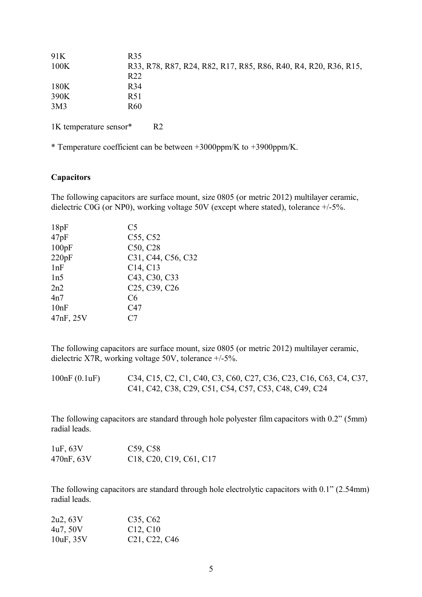| 91K             | R <sub>35</sub>                                                 |
|-----------------|-----------------------------------------------------------------|
| 100K            | R33, R78, R87, R24, R82, R17, R85, R86, R40, R4, R20, R36, R15, |
|                 | R <sub>22</sub>                                                 |
| 180K            | R <sub>34</sub>                                                 |
| 390K            | R51                                                             |
| 3M <sub>3</sub> | R <sub>60</sub>                                                 |
|                 |                                                                 |

1K temperature sensor\* R2

\* Temperature coefficient can be between +3000ppm/K to +3900ppm/K.

#### **Capacitors**

The following capacitors are surface mount, size 0805 (or metric 2012) multilayer ceramic, dielectric C0G (or NP0), working voltage 50V (except where stated), tolerance +/-5%.

| 18pF      | C5                                                  |
|-----------|-----------------------------------------------------|
| 47pF      | C55, C52                                            |
| 100pF     | C50, C28                                            |
| 220pF     | C31, C44, C56, C32                                  |
| 1nF       | C14, C13                                            |
| 1n5       | C43, C30, C33                                       |
| 2n2       | C <sub>25</sub> , C <sub>39</sub> , C <sub>26</sub> |
| 4n7       | C6                                                  |
| 10nF      | C47                                                 |
| 47nF, 25V | C7                                                  |
|           |                                                     |

The following capacitors are surface mount, size 0805 (or metric 2012) multilayer ceramic, dielectric X7R, working voltage 50V, tolerance +/-5%.

100nF (0.1uF) C34, C15, C2, C1, C40, C3, C60, C27, C36, C23, C16, C63, C4, C37, C41, C42, C38, C29, C51, C54, C57, C53, C48, C49, C24

The following capacitors are standard through hole polyester film capacitors with 0.2" (5mm) radial leads.

| 1uF, 63V   | C <sub>59</sub> , C <sub>58</sub>                                                       |
|------------|-----------------------------------------------------------------------------------------|
| 470nF, 63V | C <sub>18</sub> , C <sub>20</sub> , C <sub>19</sub> , C <sub>61</sub> , C <sub>17</sub> |

The following capacitors are standard through hole electrolytic capacitors with 0.1" (2.54mm) radial leads.

| 2u2, 63V  | C <sub>35</sub> , C <sub>62</sub>                   |
|-----------|-----------------------------------------------------|
| 4u7, 50V  | C <sub>12</sub> , C <sub>10</sub>                   |
| 10uF, 35V | C <sub>21</sub> , C <sub>22</sub> , C <sub>46</sub> |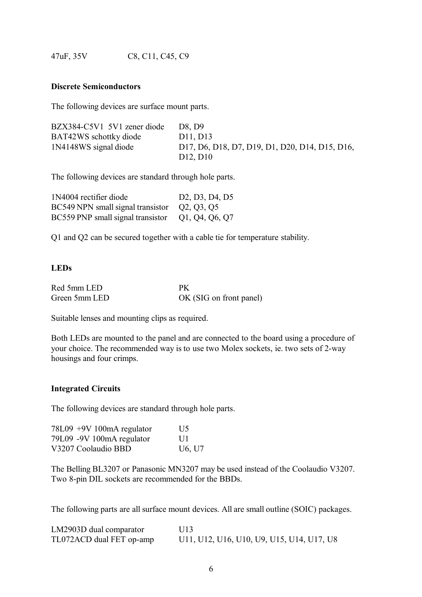47uF, 35V C8, C11, C45, C9

#### **Discrete Semiconductors**

The following devices are surface mount parts.

| BZX384-C5V1 5V1 zener diode | D8. D9                                         |
|-----------------------------|------------------------------------------------|
| BAT42WS schottky diode      | D11, D13                                       |
| 1N4148WS signal diode       | D17, D6, D18, D7, D19, D1, D20, D14, D15, D16, |
|                             | D <sub>12</sub> , D <sub>10</sub>              |

The following devices are standard through hole parts.

| 1N4004 rectifier diode                           | D <sub>2</sub> , D <sub>3</sub> , D <sub>4</sub> , D <sub>5</sub> |
|--------------------------------------------------|-------------------------------------------------------------------|
| BC549 NPN small signal transistor Q2, Q3, Q5     |                                                                   |
| BC559 PNP small signal transistor Q1, Q4, Q6, Q7 |                                                                   |

Q1 and Q2 can be secured together with a cable tie for temperature stability.

#### **LEDs**

| Red 5mm LED   | PК                      |
|---------------|-------------------------|
| Green 5mm LED | OK (SIG on front panel) |

Suitable lenses and mounting clips as required.

Both LEDs are mounted to the panel and are connected to the board using a procedure of your choice. The recommended way is to use two Molex sockets, ie. two sets of 2-way housings and four crimps.

#### **Integrated Circuits**

The following devices are standard through hole parts.

| $78L09 + 9V100mA$ regulator | U <sub>5</sub>                  |
|-----------------------------|---------------------------------|
| 79L09 -9V 100mA regulator   | $\overline{111}$                |
| V3207 Coolaudio BBD         | U <sub>6</sub> , U <sub>7</sub> |

The Belling BL3207 or Panasonic MN3207 may be used instead of the Coolaudio V3207. Two 8-pin DIL sockets are recommended for the BBDs.

The following parts are all surface mount devices. All are small outline (SOIC) packages.

| LM2903D dual comparator  | U13                                       |
|--------------------------|-------------------------------------------|
| TL072ACD dual FET op-amp | U11, U12, U16, U10, U9, U15, U14, U17, U8 |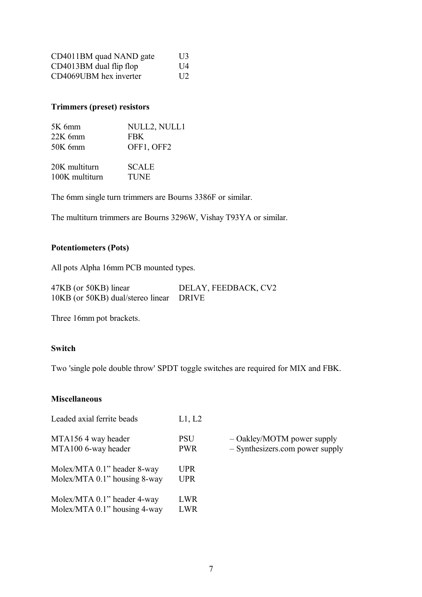| CD4011BM quad NAND gate   | U <sup>3</sup>   |
|---------------------------|------------------|
| $CD4013BM$ dual flip flop | $\overline{114}$ |
| CD4069UBM hex inverter    | $\overline{112}$ |

#### **Trimmers (preset) resistors**

| $5K$ 6mm       | NULL2, NULL1 |
|----------------|--------------|
| $22K$ 6mm      | <b>FBK</b>   |
| $50K$ 6mm      | OFF1, OFF2   |
| 20K multiturn  | <b>SCALE</b> |
| 100K multiturn | <b>TUNE</b>  |

The 6mm single turn trimmers are Bourns 3386F or similar.

The multiturn trimmers are Bourns 3296W, Vishay T93YA or similar.

#### **Potentiometers (Pots)**

All pots Alpha 16mm PCB mounted types.

| 47KB (or 50KB) linear                   | DELAY, FEEDBACK, CV2 |
|-----------------------------------------|----------------------|
| 10KB (or 50KB) dual/stereo linear DRIVE |                      |

Three 16mm pot brackets.

#### **Switch**

Two 'single pole double throw' SPDT toggle switches are required for MIX and FBK.

#### **Miscellaneous**

| Leaded axial ferrite beads                                  | L1, L2             |                                   |
|-------------------------------------------------------------|--------------------|-----------------------------------|
| MTA1564 way header<br>MTA100 6-way header                   | PSU<br><b>PWR</b>  | $-$ Oakley/MO<br>$-$ Synthesizers |
| Molex/MTA 0.1" header 8-way<br>Molex/MTA 0.1" housing 8-way | UPR.<br><b>UPR</b> |                                   |
| Molex/MTA 0.1" header 4-way<br>Molex/MTA 0.1" housing 4-way | LWR<br><b>LWR</b>  |                                   |

TM power supply

s.com power supply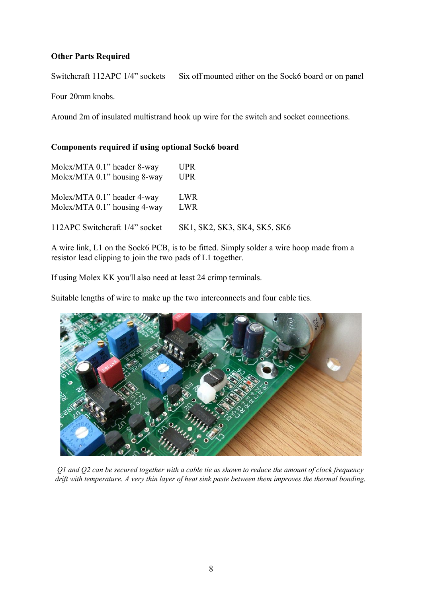#### **Other Parts Required**

Switchcraft 112APC 1/4" sockets Six off mounted either on the Sock6 board or on panel

Four 20mm knobs.

Around 2m of insulated multistrand hook up wire for the switch and socket connections.

#### **Components required if using optional Sock6 board**

| Molex/MTA 0.1" header 8-way    | <b>UPR</b>                   |
|--------------------------------|------------------------------|
| Molex/MTA 0.1" housing 8-way   | <b>UPR</b>                   |
| Molex/MTA 0.1" header 4-way    | LWR.                         |
| Molex/MTA 0.1" housing 4-way   | LWR                          |
| 112APC Switchcraft 1/4" socket | SK1, SK2, SK3, SK4, SK5, SK6 |

A wire link, L1 on the Sock6 PCB, is to be fitted. Simply solder a wire hoop made from a resistor lead clipping to join the two pads of L1 together.

If using Molex KK you'll also need at least 24 crimp terminals.

Suitable lengths of wire to make up the two interconnects and four cable ties.



*Q1 and Q2 can be secured together with a cable tie as shown to reduce the amount of clock frequency drift with temperature. A very thin layer of heat sink paste between them improves the thermal bonding.*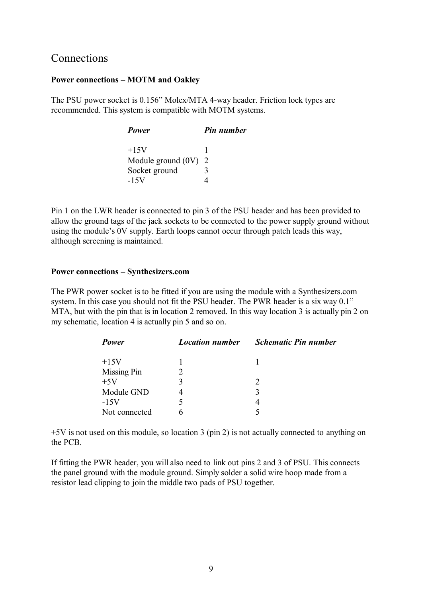#### Connections

#### **Power connections – MOTM and Oakley**

The PSU power socket is 0.156" Molex/MTA 4-way header. Friction lock types are recommended. This system is compatible with MOTM systems.

| Power                  | Pin number |
|------------------------|------------|
| $+15V$                 |            |
| Module ground $(0V)$ 2 |            |
| Socket ground          | 3          |
| $-15V$                 |            |

Pin 1 on the LWR header is connected to pin 3 of the PSU header and has been provided to allow the ground tags of the jack sockets to be connected to the power supply ground without using the module's 0V supply. Earth loops cannot occur through patch leads this way, although screening is maintained.

#### **Power connections – Synthesizers.com**

The PWR power socket is to be fitted if you are using the module with a Synthesizers.com system. In this case you should not fit the PSU header. The PWR header is a six way 0.1" MTA, but with the pin that is in location 2 removed. In this way location 3 is actually pin 2 on my schematic, location 4 is actually pin 5 and so on.

| Power         | <b>Location number</b> | <b>Schematic Pin number</b> |
|---------------|------------------------|-----------------------------|
| $+15V$        |                        |                             |
| Missing Pin   |                        |                             |
| $+5V$         | 3                      |                             |
| Module GND    |                        |                             |
| $-15V$        |                        | 4                           |
| Not connected |                        |                             |

+5V is not used on this module, so location 3 (pin 2) is not actually connected to anything on the PCB.

If fitting the PWR header, you will also need to link out pins 2 and 3 of PSU. This connects the panel ground with the module ground. Simply solder a solid wire hoop made from a resistor lead clipping to join the middle two pads of PSU together.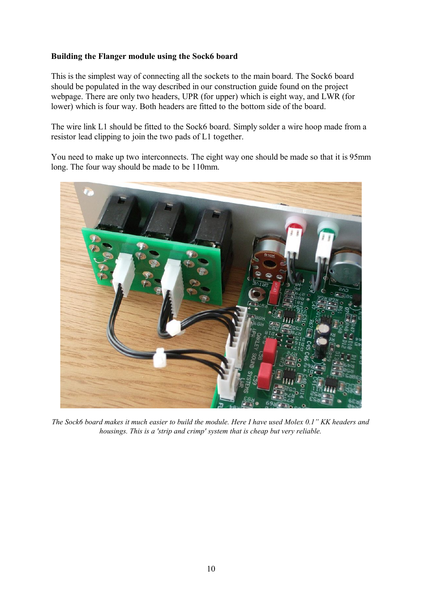#### **Building the Flanger module using the Sock6 board**

This is the simplest way of connecting all the sockets to the main board. The Sock6 board should be populated in the way described in our construction guide found on the project webpage. There are only two headers, UPR (for upper) which is eight way, and LWR (for lower) which is four way. Both headers are fitted to the bottom side of the board.

The wire link L1 should be fitted to the Sock6 board. Simply solder a wire hoop made from a resistor lead clipping to join the two pads of L1 together.

You need to make up two interconnects. The eight way one should be made so that it is 95mm long. The four way should be made to be 110mm.



*The Sock6 board makes it much easier to build the module. Here I have used Molex 0.1" KK headers and housings. This is a 'strip and crimp' system that is cheap but very reliable.*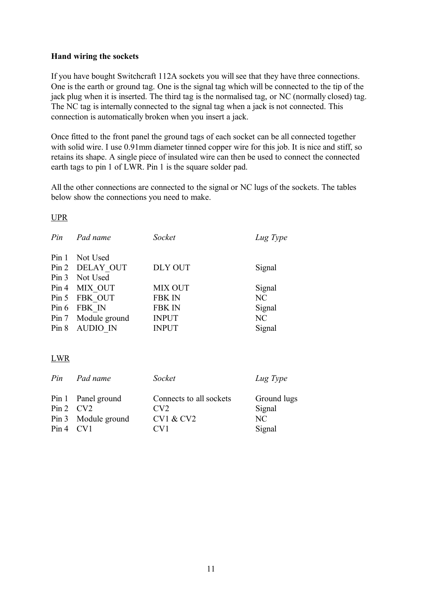#### **Hand wiring the sockets**

If you have bought Switchcraft 112A sockets you will see that they have three connections. One is the earth or ground tag. One is the signal tag which will be connected to the tip of the jack plug when it is inserted. The third tag is the normalised tag, or NC (normally closed) tag. The NC tag is internally connected to the signal tag when a jack is not connected. This connection is automatically broken when you insert a jack.

Once fitted to the front panel the ground tags of each socket can be all connected together with solid wire. I use 0.91mm diameter tinned copper wire for this job. It is nice and stiff, so retains its shape. A single piece of insulated wire can then be used to connect the connected earth tags to pin 1 of LWR. Pin 1 is the square solder pad.

All the other connections are connected to the signal or NC lugs of the sockets. The tables below show the connections you need to make.

#### UPR

| Pin Pad name        | Socket         | Lug Type |
|---------------------|----------------|----------|
| Pin 1 Not Used      |                |          |
| Pin 2 DELAY OUT     | <b>DLY OUT</b> | Signal   |
| Pin 3 Not Used      |                |          |
| Pin 4 MIX OUT       | <b>MIX OUT</b> | Signal   |
| Pin 5 FBK OUT       | <b>FBK IN</b>  | NC       |
| Pin 6 FBK IN        | <b>FBK IN</b>  | Signal   |
| Pin 7 Module ground | <b>INPUT</b>   | NC       |
| Pin 8 AUDIO IN      | <b>INPUT</b>   | Signal   |

#### LWR

|               | Pin Pad name        | Socket                  | Lug Type    |
|---------------|---------------------|-------------------------|-------------|
|               | Pin 1 Panel ground  | Connects to all sockets | Ground lugs |
| $Pin 2$ $CV2$ |                     | CV2                     | Signal      |
|               | Pin 3 Module ground | <b>CV1 &amp; CV2</b>    | NC.         |
| $Pin 4$ CV1   |                     | $\rm{CV1}$              | Signal      |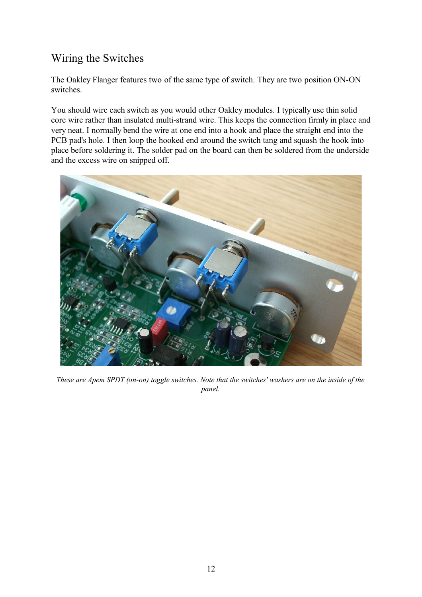## Wiring the Switches

The Oakley Flanger features two of the same type of switch. They are two position ON-ON switches.

You should wire each switch as you would other Oakley modules. I typically use thin solid core wire rather than insulated multi-strand wire. This keeps the connection firmly in place and very neat. I normally bend the wire at one end into a hook and place the straight end into the PCB pad's hole. I then loop the hooked end around the switch tang and squash the hook into place before soldering it. The solder pad on the board can then be soldered from the underside and the excess wire on snipped off.



*These are Apem SPDT (on-on) toggle switches. Note that the switches' washers are on the inside of the panel.*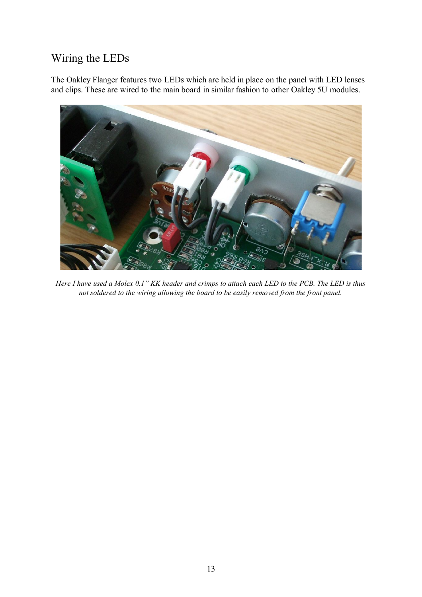## Wiring the LEDs

The Oakley Flanger features two LEDs which are held in place on the panel with LED lenses and clips. These are wired to the main board in similar fashion to other Oakley 5U modules.



*Here I have used a Molex 0.1" KK header and crimps to attach each LED to the PCB. The LED is thus not soldered to the wiring allowing the board to be easily removed from the front panel.*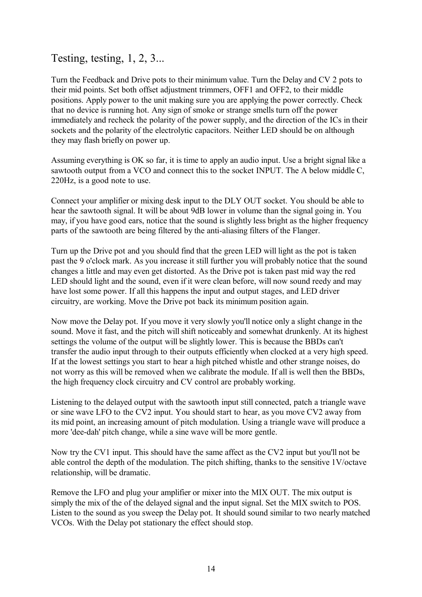## Testing, testing, 1, 2, 3...

Turn the Feedback and Drive pots to their minimum value. Turn the Delay and CV 2 pots to their mid points. Set both offset adjustment trimmers, OFF1 and OFF2, to their middle positions. Apply power to the unit making sure you are applying the power correctly. Check that no device is running hot. Any sign of smoke or strange smells turn off the power immediately and recheck the polarity of the power supply, and the direction of the ICs in their sockets and the polarity of the electrolytic capacitors. Neither LED should be on although they may flash briefly on power up.

Assuming everything is OK so far, it is time to apply an audio input. Use a bright signal like a sawtooth output from a VCO and connect this to the socket INPUT. The A below middle C, 220Hz, is a good note to use.

Connect your amplifier or mixing desk input to the DLY OUT socket. You should be able to hear the sawtooth signal. It will be about 9dB lower in volume than the signal going in. You may, if you have good ears, notice that the sound is slightly less bright as the higher frequency parts of the sawtooth are being filtered by the anti-aliasing filters of the Flanger.

Turn up the Drive pot and you should find that the green LED will light as the pot is taken past the 9 o'clock mark. As you increase it still further you will probably notice that the sound changes a little and may even get distorted. As the Drive pot is taken past mid way the red LED should light and the sound, even if it were clean before, will now sound reedy and may have lost some power. If all this happens the input and output stages, and LED driver circuitry, are working. Move the Drive pot back its minimum position again.

Now move the Delay pot. If you move it very slowly you'll notice only a slight change in the sound. Move it fast, and the pitch will shift noticeably and somewhat drunkenly. At its highest settings the volume of the output will be slightly lower. This is because the BBDs can't transfer the audio input through to their outputs efficiently when clocked at a very high speed. If at the lowest settings you start to hear a high pitched whistle and other strange noises, do not worry as this will be removed when we calibrate the module. If all is well then the BBDs, the high frequency clock circuitry and CV control are probably working.

Listening to the delayed output with the sawtooth input still connected, patch a triangle wave or sine wave LFO to the CV2 input. You should start to hear, as you move CV2 away from its mid point, an increasing amount of pitch modulation. Using a triangle wave will produce a more 'dee-dah' pitch change, while a sine wave will be more gentle.

Now try the CV1 input. This should have the same affect as the CV2 input but you'll not be able control the depth of the modulation. The pitch shifting, thanks to the sensitive 1V/octave relationship, will be dramatic.

Remove the LFO and plug your amplifier or mixer into the MIX OUT. The mix output is simply the mix of the of the delayed signal and the input signal. Set the MIX switch to POS. Listen to the sound as you sweep the Delay pot. It should sound similar to two nearly matched VCOs. With the Delay pot stationary the effect should stop.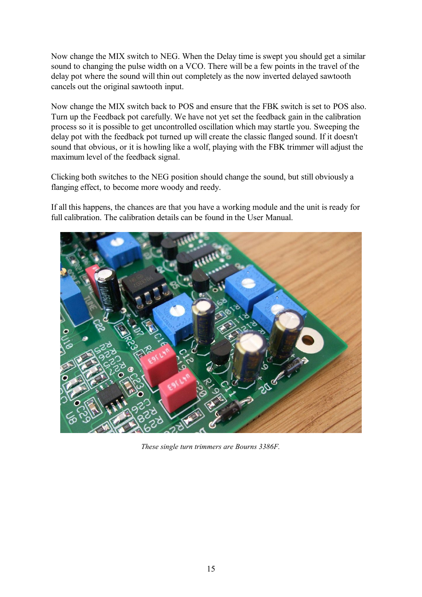Now change the MIX switch to NEG. When the Delay time is swept you should get a similar sound to changing the pulse width on a VCO. There will be a few points in the travel of the delay pot where the sound will thin out completely as the now inverted delayed sawtooth cancels out the original sawtooth input.

Now change the MIX switch back to POS and ensure that the FBK switch is set to POS also. Turn up the Feedback pot carefully. We have not yet set the feedback gain in the calibration process so it is possible to get uncontrolled oscillation which may startle you. Sweeping the delay pot with the feedback pot turned up will create the classic flanged sound. If it doesn't sound that obvious, or it is howling like a wolf, playing with the FBK trimmer will adjust the maximum level of the feedback signal.

Clicking both switches to the NEG position should change the sound, but still obviously a flanging effect, to become more woody and reedy.

If all this happens, the chances are that you have a working module and the unit is ready for full calibration. The calibration details can be found in the User Manual.



*These single turn trimmers are Bourns 3386F.*